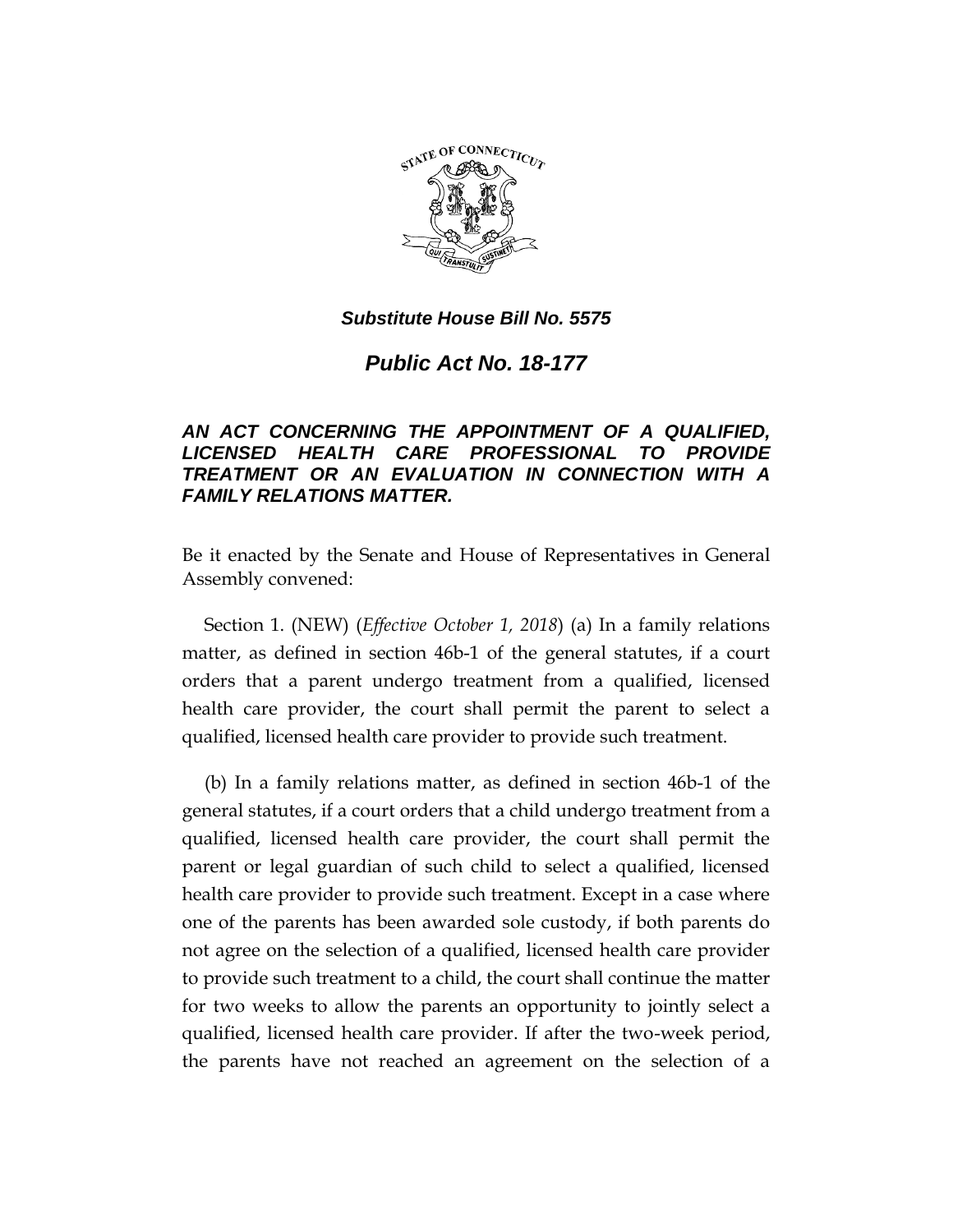

### *Substitute House Bill No. 5575*

*Public Act No. 18-177*

## *AN ACT CONCERNING THE APPOINTMENT OF A QUALIFIED, LICENSED HEALTH CARE PROFESSIONAL TO PROVIDE TREATMENT OR AN EVALUATION IN CONNECTION WITH A FAMILY RELATIONS MATTER.*

Be it enacted by the Senate and House of Representatives in General Assembly convened:

Section 1. (NEW) (*Effective October 1, 2018*) (a) In a family relations matter, as defined in section 46b-1 of the general statutes, if a court orders that a parent undergo treatment from a qualified, licensed health care provider, the court shall permit the parent to select a qualified, licensed health care provider to provide such treatment.

(b) In a family relations matter, as defined in section 46b-1 of the general statutes, if a court orders that a child undergo treatment from a qualified, licensed health care provider, the court shall permit the parent or legal guardian of such child to select a qualified, licensed health care provider to provide such treatment. Except in a case where one of the parents has been awarded sole custody, if both parents do not agree on the selection of a qualified, licensed health care provider to provide such treatment to a child, the court shall continue the matter for two weeks to allow the parents an opportunity to jointly select a qualified, licensed health care provider. If after the two-week period, the parents have not reached an agreement on the selection of a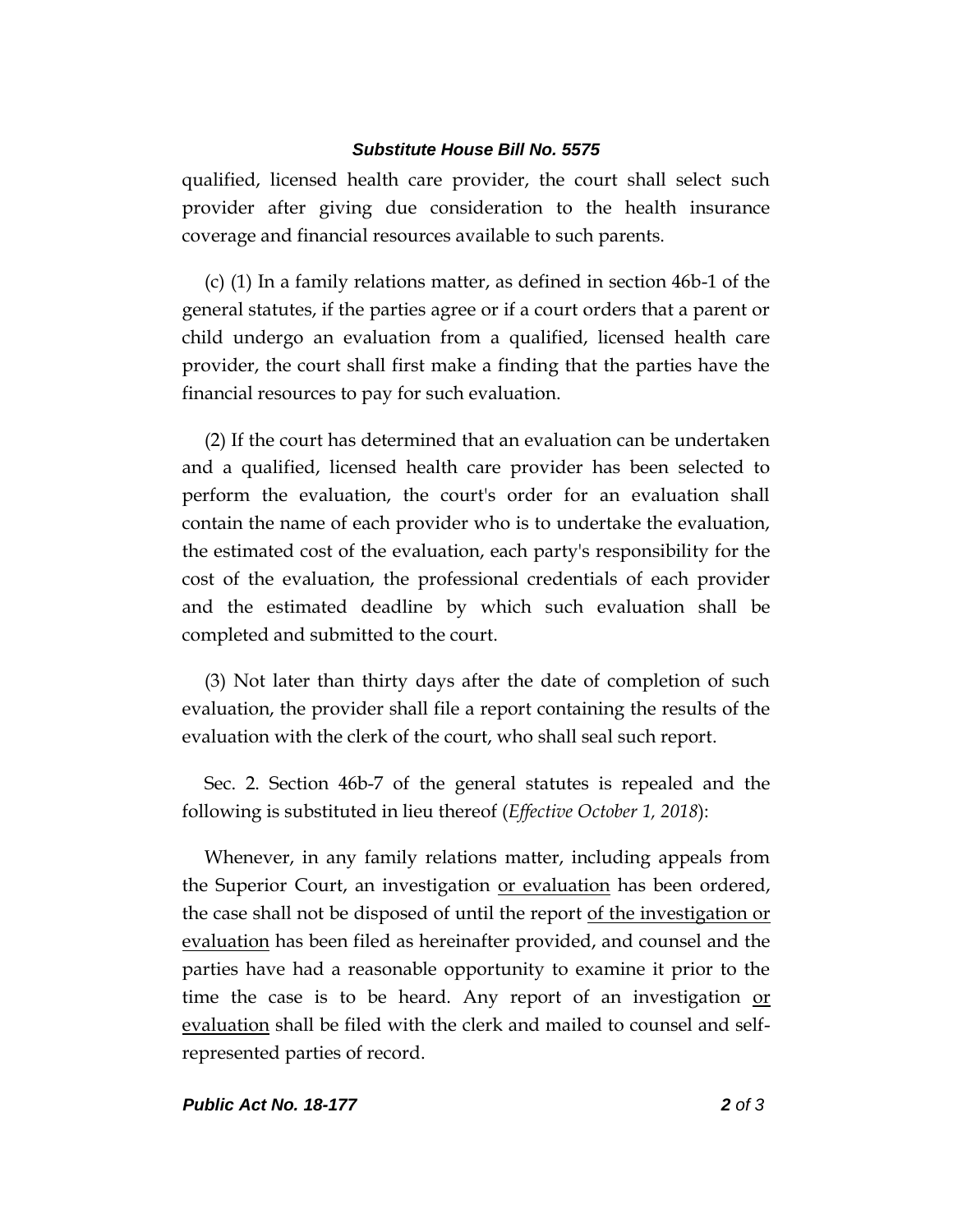#### *Substitute House Bill No. 5575*

qualified, licensed health care provider, the court shall select such provider after giving due consideration to the health insurance coverage and financial resources available to such parents.

(c) (1) In a family relations matter, as defined in section 46b-1 of the general statutes, if the parties agree or if a court orders that a parent or child undergo an evaluation from a qualified, licensed health care provider, the court shall first make a finding that the parties have the financial resources to pay for such evaluation.

(2) If the court has determined that an evaluation can be undertaken and a qualified, licensed health care provider has been selected to perform the evaluation, the court's order for an evaluation shall contain the name of each provider who is to undertake the evaluation, the estimated cost of the evaluation, each party's responsibility for the cost of the evaluation, the professional credentials of each provider and the estimated deadline by which such evaluation shall be completed and submitted to the court.

(3) Not later than thirty days after the date of completion of such evaluation, the provider shall file a report containing the results of the evaluation with the clerk of the court, who shall seal such report.

Sec. 2. Section 46b-7 of the general statutes is repealed and the following is substituted in lieu thereof (*Effective October 1, 2018*):

Whenever, in any family relations matter, including appeals from the Superior Court, an investigation or evaluation has been ordered, the case shall not be disposed of until the report of the investigation or evaluation has been filed as hereinafter provided, and counsel and the parties have had a reasonable opportunity to examine it prior to the time the case is to be heard. Any report of an investigation or evaluation shall be filed with the clerk and mailed to counsel and selfrepresented parties of record.

#### *Public Act No. 18-177 2 of 3*